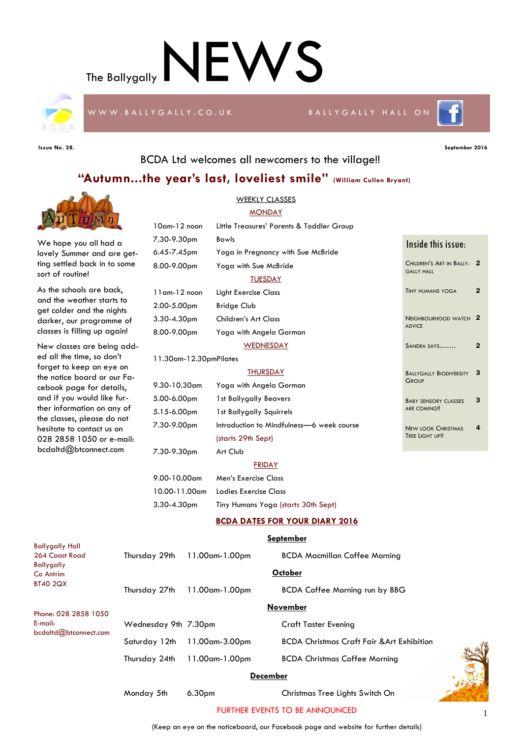The Ballygally  $\sf NEWS$ 



W W W .B A LLY G A LLY . C O . U K B A LLY G A LLY G A LLY HALL ON

**Issue No. 28. September 2016**

E-mail:

bcdaltd@btconnect.com



## BCDA Ltd welcomes all newcomers to the village!!

## **"Autumn...the year's last, loveliest smile" (William Cullen Bryant)**



|  |                      | Thursday $24th$ 11.00 am-1.00 pm | <b>BCDA Christmas Coffee Morning</b>                  |  |  |  |  |  |
|--|----------------------|----------------------------------|-------------------------------------------------------|--|--|--|--|--|
|  |                      | Saturday 12th 11.00am-3.00pm     | <b>BCDA Christmas Craft Fair &amp; Art Exhibition</b> |  |  |  |  |  |
|  | Wednesday 9th 7.30pm |                                  | <b>Craft Taster Evening</b>                           |  |  |  |  |  |

### **December**

Monday 5th 6.30pm Christmas Tree Lights Switch On



### FURTHER EVENTS TO BE ANNOUNCED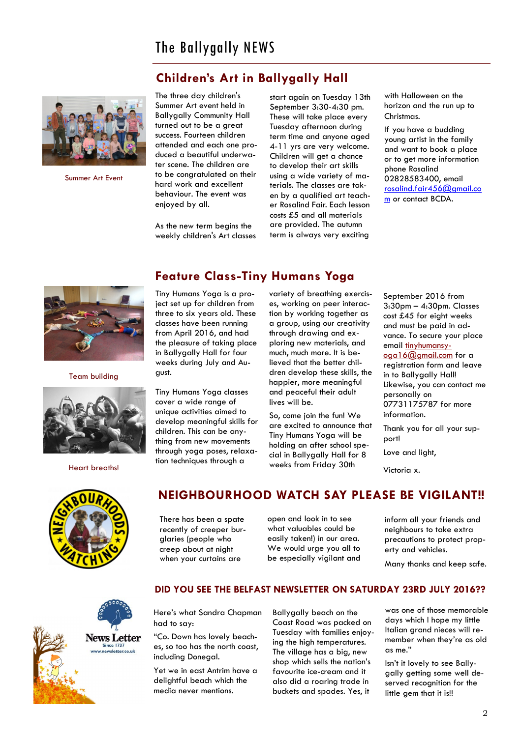# **Children's Art in Ballygally Hall**



Summer Art Event

The three day children's Summer Art event held in Ballygally Community Hall turned out to be a great success. Fourteen children attended and each one produced a beautiful underwater scene. The children are to be congratulated on their hard work and excellent behaviour. The event was enjoyed by all.

As the new term begins the weekly children's Art classes start again on Tuesday 13th September 3:30-4:30 pm. These will take place every Tuesday afternoon during term time and anyone aged 4-11 yrs are very welcome. Children will get a chance to develop their art skills using a wide variety of materials. The classes are taken by a qualified art teacher Rosalind Fair. Each lesson costs £5 and all materials are provided. The autumn term is always very exciting

with Halloween on the horizon and the run up to Christmas.

If you have a budding young artist in the family and want to book a place or to get more information phone Rosalind 02828583400, email [rosalind.fair456@gmail.co](mailto:rosalind.fair456@gmail.com) [m](mailto:rosalind.fair456@gmail.com) or contact BCDA.



Team building



Heart breaths!

# **Feature Class-Tiny Humans Yoga**

Tiny Humans Yoga is a project set up for children from three to six years old. These classes have been running from April 2016, and had the pleasure of taking place in Ballygally Hall for four weeks during July and August.

Tiny Humans Yoga classes cover a wide range of unique activities aimed to develop meaningful skills for children. This can be anything from new movements through yoga poses, relaxation techniques through a

variety of breathing exercises, working on peer interaction by working together as a group, using our creativity through drawing and exploring new materials, and much, much more. It is believed that the better children develop these skills, the happier, more meaningful and peaceful their adult lives will be.

So, come join the fun! We are excited to announce that Tiny Humans Yoga will be holding an after school special in Ballygally Hall for 8 weeks from Friday 30th

September 2016 from 3:30pm – 4:30pm. Classes cost £45 for eight weeks and must be paid in advance. To secure your place email [tinyhumansy](mailto:tinyhumansyoga16@gmail.com)[oga16@gmail.com](mailto:tinyhumansyoga16@gmail.com) for a registration form and leave in to Ballygally Hall! Likewise, you can contact me personally on 07731175787 for more information.

Thank you for all your support!

Love and light,

Victoria x.

# **NEIGHBOURHOOD WATCH SAY PLEASE BE VIGILANT!!**

There has been a spate recently of creeper burglaries (people who creep about at night when your curtains are

open and look in to see what valuables could be easily taken!) in our area. We would urge you all to be especially vigilant and

inform all your friends and neighbours to take extra precautions to protect property and vehicles.



### **DID YOU SEE THE BELFAST NEWSLETTER ON SATURDAY 23RD JULY 2016??**

Here's what Sandra Chapman had to say:

"Co. Down has lovely beaches, so too has the north coast, including Donegal.

Yet we in east Antrim have a delightful beach which the media never mentions.

Ballygally beach on the Coast Road was packed on Tuesday with families enjoying the high temperatures. The village has a big, new shop which sells the nation's favourite ice-cream and it also did a roaring trade in buckets and spades. Yes, it

was one of those memorable days which I hope my little Italian grand nieces will remember when they're as old as me."

Isn't it lovely to see Ballygally getting some well deserved recognition for the little gem that it is!!

Many thanks and keep safe.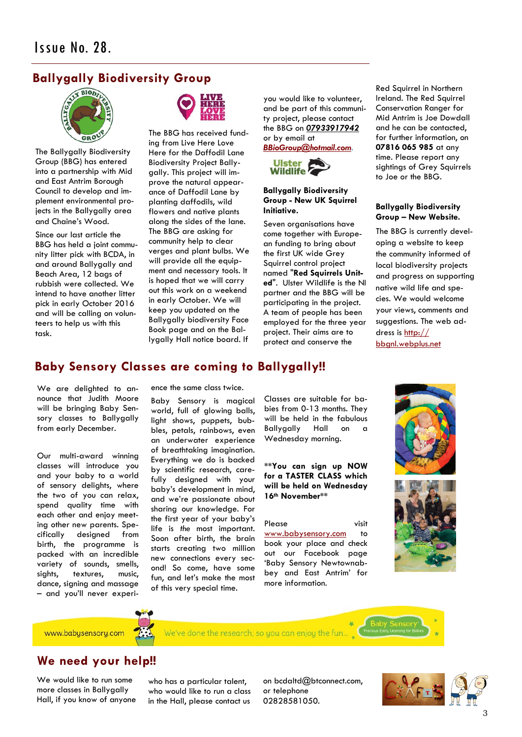# **Ballygally Biodiversity Group**



The Ballygally Biodiversity Group (BBG) has entered into a partnership with Mid and East Antrim Borough Council to develop and implement environmental projects in the Ballygally area and Chaine's Wood.

Since our last article the BBG has held a joint community litter pick with BCDA, in and around Ballygally and Beach Area, 12 bags of rubbish were collected. We intend to have another litter pick in early October 2016 and will be calling on volunteers to help us with this task.



The BBG has received funding from Live Here Love Here for the Daffodil Lane Biodiversity Project Ballygally. This project will improve the natural appearance of Daffodil Lane by planting daffodils, wild flowers and native plants along the sides of the lane. The BBG are asking for community help to clear verges and plant bulbs. We will provide all the equipment and necessary tools. It is hoped that we will carry out this work on a weekend in early October. We will keep you updated on the Ballygally biodiversity Face Book page and on the Ballygally Hall notice board. If

you would like to volunteer, and be part of this community project, please contact the BBG on *07933917942* or by email at

*[BBioGroup@hotmail.com.](mailto:BBioGroup@hotmail.com)*



### **Ballygally Biodiversity Group - New UK Squirrel Initiative.**

Seven organisations have come together with European funding to bring about the first UK wide Grey Squirrel control project named "**Red Squirrels United**". Ulster Wildlife is the NI partner and the BBG will be participating in the project. A team of people has been employed for the three year project. Their aims are to protect and conserve the

Red Squirrel in Northern Ireland. The Red Squirrel Conservation Ranger for Mid Antrim is Joe Dowdall and he can be contacted, for further information, on **07816 065 985** at any time. Please report any sightings of Grey Squirrels to Joe or the BBG.

### **Ballygally Biodiversity Group – New Website.**

The BBG is currently developing a website to keep the community informed of local biodiversity projects and progress on supporting native wild life and species. We would welcome your views, comments and suggestions. The web address is [http://](http://bbgnl.webplus.net) [bbgnl.webplus.net](http://bbgnl.webplus.net)

# **Baby Sensory Classes are coming to Ballygally!!**

We are delighted to announce that Judith Moore will be bringing Baby Sensory classes to Ballygally from early December.

Our multi-award winning classes will introduce you and your baby to a world of sensory delights, where the two of you can relax, spend quality time with each other and enjoy meeting other new parents. Specifically designed from birth, the programme is packed with an incredible variety of sounds, smells, sights, textures, music, dance, signing and massage – and you'll never experience the same class twice.

Baby Sensory is magical world, full of glowing balls, light shows, puppets, bubbles, petals, rainbows, even an underwater experience of breathtaking imagination. Everything we do is backed by scientific research, carefully designed with your baby's development in mind, and we're passionate about sharing our knowledge. For the first year of your baby's life is *the* most important. Soon after birth, the brain starts creating two million new connections every second! So come, have some fun, and let's make the most of this very special time.

Classes are suitable for babies from 0-13 months. They will be held in the fabulous Ballygally Hall on a Wednesday morning.

**\*\*You can sign up NOW for a TASTER CLASS which will be held on Wednesday 16th November\*\***

Please visit [www.babysensory.com](http://www.babysensory.com) to book your place and check out our Facebook page 'Baby Sensory Newtownabbey and East Antrim' for more information.





www.babysensory.com

# **We need your help!!**

We would like to run some more classes in Ballygally Hall, if you know of anyone who has a particular talent. who would like to run a class in the Hall, please contact us

We've done the research; so you can enjoy the fun...

on bcdaltd@btconnect.com, or telephone 02828581050.